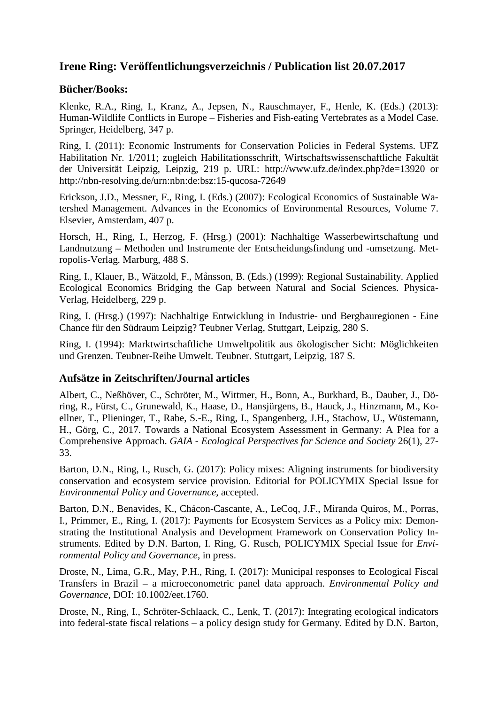# **Irene Ring: Veröffentlichungsverzeichnis / Publication list 20.07.2017**

#### **Bücher/Books:**

Klenke, R.A., Ring, I., Kranz, A., Jepsen, N., Rauschmayer, F., Henle, K. (Eds.) (2013): Human-Wildlife Conflicts in Europe – Fisheries and Fish-eating Vertebrates as a Model Case. Springer, Heidelberg, 347 p.

Ring, I. (2011): Economic Instruments for Conservation Policies in Federal Systems. UFZ Habilitation Nr. 1/2011; zugleich Habilitationsschrift, Wirtschaftswissenschaftliche Fakultät der Universität Leipzig, Leipzig, 219 p. URL: <http://www.ufz.de/index.php?de=13920>or http://nbn-resolving.de/urn:nbn:de:bsz:15-qucosa-72649

Erickson, J.D., Messner, F., Ring, I. (Eds.) (2007): Ecological Economics of Sustainable Watershed Management. Advances in the Economics of Environmental Resources, Volume 7. Elsevier, Amsterdam, 407 p.

Horsch, H., Ring, I., Herzog, F. (Hrsg.) (2001): Nachhaltige Wasserbewirtschaftung und Landnutzung – Methoden und Instrumente der Entscheidungsfindung und -umsetzung. Metropolis-Verlag. Marburg, 488 S.

Ring, I., Klauer, B., Wätzold, F., Månsson, B. (Eds.) (1999): Regional Sustainability. Applied Ecological Economics Bridging the Gap between Natural and Social Sciences. Physica-Verlag, Heidelberg, 229 p.

Ring, I. (Hrsg.) (1997): Nachhaltige Entwicklung in Industrie- und Bergbauregionen - Eine Chance für den Südraum Leipzig? Teubner Verlag, Stuttgart, Leipzig, 280 S.

Ring, I. (1994): Marktwirtschaftliche Umweltpolitik aus ökologischer Sicht: Möglichkeiten und Grenzen. Teubner-Reihe Umwelt. Teubner. Stuttgart, Leipzig, 187 S.

#### **Aufsätze in Zeitschriften/Journal articles**

Albert, C., Neßhöver, C., Schröter, M., Wittmer, H., Bonn, A., Burkhard, B., Dauber, J., Döring, R., Fürst, C., Grunewald, K., Haase, D., Hansjürgens, B., Hauck, J., Hinzmann, M., Koellner, T., Plieninger, T., Rabe, S.-E., Ring, I., Spangenberg, J.H., Stachow, U., Wüstemann, H., Görg, C., 2017. Towards a National Ecosystem Assessment in Germany: A Plea for a Comprehensive Approach. *GAIA - Ecological Perspectives for Science and Society* 26(1), 27- 33.

Barton, D.N., Ring, I., Rusch, G. (2017): Policy mixes: Aligning instruments for biodiversity conservation and ecosystem service provision. Editorial for POLICYMIX Special Issue for *Environmental Policy and Governance*, accepted.

Barton, D.N., Benavides, K., Chácon-Cascante, A., LeCoq, J.F., Miranda Quiros, M., Porras, I., Primmer, E., Ring, I. (2017): Payments for Ecosystem Services as a Policy mix: Demonstrating the Institutional Analysis and Development Framework on Conservation Policy Instruments. Edited by D.N. Barton, I. Ring, G. Rusch, POLICYMIX Special Issue for *Environmental Policy and Governance*, in press.

Droste, N., Lima, G.R., May, P.H., Ring, I. (2017): Municipal responses to Ecological Fiscal Transfers in Brazil – a microeconometric panel data approach. *Environmental Policy and Governance*, DOI: 10.1002/eet.1760.

Droste, N., Ring, I., Schröter-Schlaack, C., Lenk, T. (2017): Integrating ecological indicators into federal-state fiscal relations – a policy design study for Germany. Edited by D.N. Barton,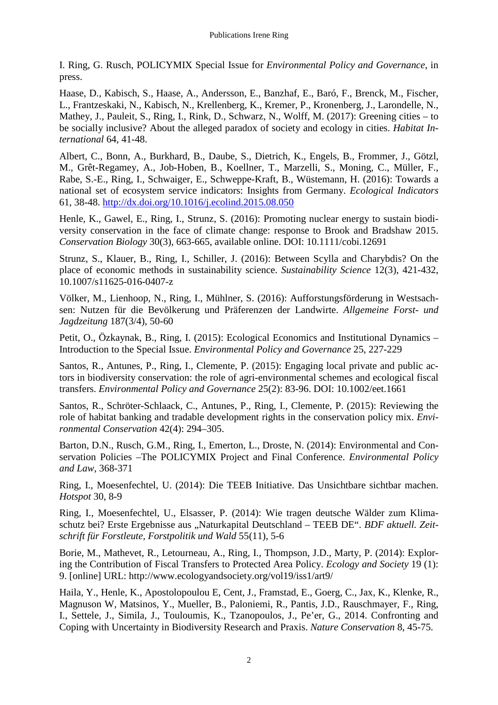I. Ring, G. Rusch, POLICYMIX Special Issue for *Environmental Policy and Governance*, in press.

Haase, D., Kabisch, S., Haase, A., Andersson, E., Banzhaf, E., Baró, F., Brenck, M., Fischer, L., Frantzeskaki, N., Kabisch, N., Krellenberg, K., Kremer, P., Kronenberg, J., Larondelle, N., Mathey, J., Pauleit, S., Ring, I., Rink, D., Schwarz, N., Wolff, M. (2017): Greening cities – to be socially inclusive? About the alleged paradox of society and ecology in cities. *Habitat International* 64, 41-48.

Albert, C., Bonn, A., Burkhard, B., Daube, S., Dietrich, K., Engels, B., Frommer, J., Götzl, M., Grêt-Regamey, A., Job-Hoben, B., Koellner, T., Marzelli, S., Moning, C., Müller, F., Rabe, S.-E., Ring, I., Schwaiger, E., Schweppe-Kraft, B., Wüstemann, H. (2016): Towards a national set of ecosystem service indicators: Insights from Germany. *Ecological Indicators* 61, 38-48.<http://dx.doi.org/10.1016/j.ecolind.2015.08.050>

Henle, K., Gawel, E., Ring, I., Strunz, S. (2016): Promoting nuclear energy to sustain biodiversity conservation in the face of climate change: response to Brook and Bradshaw 2015. *Conservation Biology* 30(3), 663-665, available online. DOI: 10.1111/cobi.12691

Strunz, S., Klauer, B., Ring, I., Schiller, J. (2016): Between Scylla and Charybdis? On the place of economic methods in sustainability science. *Sustainability Science* 12(3), 421-432, 10.1007/s11625-016-0407-z

Völker, M., Lienhoop, N., Ring, I., Mühlner, S. (2016): Aufforstungsförderung in Westsachsen: Nutzen für die Bevölkerung und Präferenzen der Landwirte. *Allgemeine Forst- und Jagdzeitung* 187(3/4), 50-60

Petit, O., Özkaynak, B., Ring, I. (2015): Ecological Economics and Institutional Dynamics – Introduction to the Special Issue. *Environmental Policy and Governance* 25, 227-229

Santos, R., Antunes, P., Ring, I., Clemente, P. (2015): Engaging local private and public actors in biodiversity conservation: the role of agri-environmental schemes and ecological fiscal transfers. *Environmental Policy and Governance* 25(2): 83-96. DOI: 10.1002/eet.1661

Santos, R., Schröter-Schlaack, C., Antunes, P., Ring, I., Clemente, P. (2015): Reviewing the role of habitat banking and tradable development rights in the conservation policy mix. *Environmental Conservation* 42(4): 294–305.

Barton, D.N., Rusch, G.M., Ring, I., Emerton, L., Droste, N. (2014): Environmental and Conservation Policies –The POLICYMIX Project and Final Conference. *Environmental Policy and Law*, 368-371

Ring, I., Moesenfechtel, U. (2014): Die TEEB Initiative. Das Unsichtbare sichtbar machen. *Hotspot* 30, 8-9

Ring, I., Moesenfechtel, U., Elsasser, P. (2014): Wie tragen deutsche Wälder zum Klimaschutz bei? Erste Ergebnisse aus "Naturkapital Deutschland - TEEB DE". *BDF aktuell. Zeitschrift für Forstleute, Forstpolitik und Wald* 55(11), 5-6

Borie, M., Mathevet, R., Letourneau, A., Ring, I., Thompson, J.D., Marty, P. (2014): Exploring the Contribution of Fiscal Transfers to Protected Area Policy. *Ecology and Society* 19 (1): 9. [online] URL: http://www.ecologyandsociety.org/vol19/iss1/art9/

Haila, Y., Henle, K., Apostolopoulou E, Cent, J., Framstad, E., Goerg, C., Jax, K., Klenke, R., Magnuson W, Matsinos, Y., Mueller, B., Paloniemi, R., Pantis, J.D., Rauschmayer, F., Ring, I., Settele, J., Simila, J., Touloumis, K., Tzanopoulos, J., Pe'er, G., 2014. Confronting and Coping with Uncertainty in Biodiversity Research and Praxis. *Nature Conservation* 8, 45-75.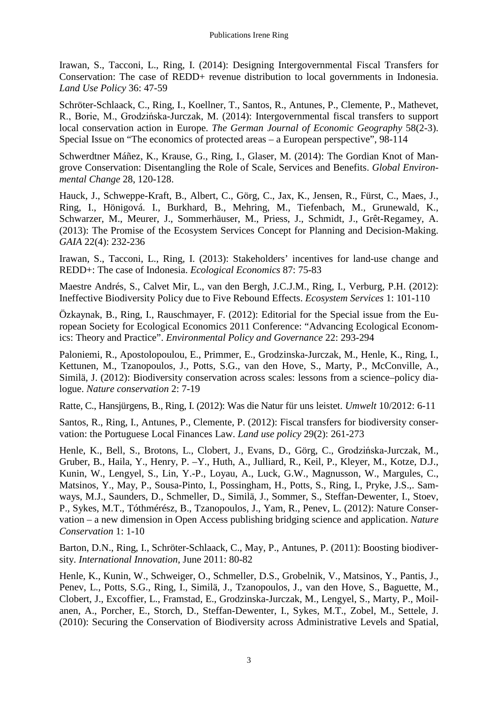Irawan, S., Tacconi, L., Ring, I. (2014): Designing Intergovernmental Fiscal Transfers for Conservation: The case of REDD+ revenue distribution to local governments in Indonesia. *Land Use Policy* 36: 47-59

Schröter-Schlaack, C., Ring, I., Koellner, T., Santos, R., Antunes, P., Clemente, P., Mathevet, R., Borie, M., Grodzińska-Jurczak, M. (2014): Intergovernmental fiscal transfers to support local conservation action in Europe. *The German Journal of Economic Geography* 58(2-3). Special Issue on "The economics of protected areas – a European perspective", 98-114

Schwerdtner Máñez, K., Krause, G., Ring, I., Glaser, M. (2014): The Gordian Knot of Mangrove Conservation: Disentangling the Role of Scale, Services and Benefits. *Global Environmental Change* 28, 120-128.

Hauck, J., Schweppe-Kraft, B., Albert, C., Görg, C., Jax, K., Jensen, R., Fürst, C., Maes, J., Ring, I., Hönigová. I., Burkhard, B., Mehring, M., Tiefenbach, M., Grunewald, K., Schwarzer, M., Meurer, J., Sommerhäuser, M., Priess, J., Schmidt, J., Grêt-Regamey, A. (2013): The Promise of the Ecosystem Services Concept for Planning and Decision-Making. *GAIA* 22(4): 232-236

Irawan, S., Tacconi, L., Ring, I. (2013): Stakeholders' incentives for land-use change and REDD+: The case of Indonesia. *Ecological Economics* 87: 75-83

Maestre Andrés, S., Calvet Mir, L., van den Bergh, J.C.J.M., Ring, I., Verburg, P.H. (2012): Ineffective Biodiversity Policy due to Five Rebound Effects. *Ecosystem Services* 1: 101-110

Özkaynak, B., Ring, I., Rauschmayer, F. (2012): Editorial for the Special issue from the European Society for Ecological Economics 2011 Conference: "Advancing Ecological Economics: Theory and Practice". *Environmental Policy and Governance* 22: 293-294

Paloniemi, R., Apostolopoulou, E., Primmer, E., Grodzinska-Jurczak, M., Henle, K., Ring, I., Kettunen, M., Tzanopoulos, J., Potts, S.G., van den Hove, S., Marty, P., McConville, A., Similä, J. (2012): Biodiversity conservation across scales: lessons from a science–policy dialogue. *Nature conservation* 2: 7-19

Ratte, C., Hansjürgens, B., Ring, I. (2012): Was die Natur für uns leistet. *Umwelt* 10/2012: 6-11

Santos, R., Ring, I., Antunes, P., Clemente, P. (2012): Fiscal transfers for biodiversity conservation: the Portuguese Local Finances Law. *Land use policy* 29(2): 261-273

Henle, K., Bell, S., Brotons, L., Clobert, J., Evans, D., Görg, C., Grodzińska-Jurczak, M., Gruber, B., Haila, Y., Henry, P. –Y., Huth, A., Julliard, R., Keil, P., Kleyer, M., Kotze, D.J., Kunin, W., Lengyel, S., Lin, Y.-P., Loyau, A., Luck, G.W., Magnusson, W., Margules, C., Matsinos, Y., May, P., Sousa-Pinto, I., Possingham, H., Potts, S., Ring, I., Pryke, J.S.,. Samways, M.J., Saunders, D., Schmeller, D., Similä, J., Sommer, S., Steffan-Dewenter, I., Stoev, P., Sykes, M.T., Tóthmérész, B., Tzanopoulos, J., Yam, R., Penev, L. (2012): Nature Conservation – a new dimension in Open Access publishing bridging science and application. *Nature Conservation* 1: 1-10

Barton, D.N., Ring, I., Schröter-Schlaack, C., May, P., Antunes, P. (2011): Boosting biodiversity. *International Innovation*, June 2011: 80-82

Henle, K., Kunin, W., Schweiger, O., Schmeller, D.S., Grobelnik, V., Matsinos, Y., Pantis, J., Penev, L., Potts, S.G., Ring, I., Similä, J., Tzanopoulos, J., van den Hove, S., Baguette, M., Clobert, J., Excoffier, L., Framstad, E., Grodzinska-Jurczak, M., Lengyel, S., Marty, P., Moilanen, A., Porcher, E., Storch, D., Steffan-Dewenter, I., Sykes, M.T., Zobel, M., Settele, J. (2010): Securing the Conservation of Biodiversity across Administrative Levels and Spatial,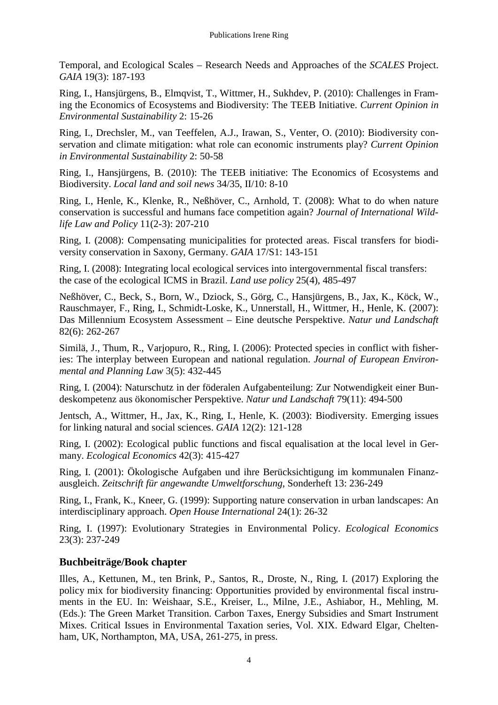Temporal, and Ecological Scales – Research Needs and Approaches of the *SCALES* Project. *GAIA* 19(3): 187-193

Ring, I., Hansjürgens, B., Elmqvist, T., Wittmer, H., Sukhdev, P. (2010): Challenges in Framing the Economics of Ecosystems and Biodiversity: The TEEB Initiative. *Current Opinion in Environmental Sustainability* 2: 15-26

Ring, I., Drechsler, M., van Teeffelen, A.J., Irawan, S., Venter, O. (2010): Biodiversity conservation and climate mitigation: what role can economic instruments play? *Current Opinion in Environmental Sustainability* 2: 50-58

Ring, I., Hansjürgens, B. (2010): The TEEB initiative: The Economics of Ecosystems and Biodiversity. *Local land and soil news* 34/35, II/10: 8-10

Ring, I., Henle, K., Klenke, R., Neßhöver, C., Arnhold, T. (2008): What to do when nature conservation is successful and humans face competition again? *Journal of International Wildlife Law and Policy* 11(2-3): 207-210

Ring, I. (2008): Compensating municipalities for protected areas. Fiscal transfers for biodiversity conservation in Saxony, Germany. *GAIA* 17/S1: 143-151

Ring, I. (2008): Integrating local ecological services into intergovernmental fiscal transfers: the case of the ecological ICMS in Brazil. *Land use policy* 25(4), 485-497

Neßhöver, C., Beck, S., Born, W., Dziock, S., Görg, C., Hansjürgens, B., Jax, K., Köck, W., Rauschmayer, F., Ring, I., Schmidt-Loske, K., Unnerstall, H., Wittmer, H., Henle, K. (2007): Das Millennium Ecosystem Assessment – Eine deutsche Perspektive. *Natur und Landschaft* 82(6): 262-267

Similä, J., Thum, R., Varjopuro, R., Ring, I. (2006): Protected species in conflict with fisheries: The interplay between European and national regulation. *Journal of European Environmental and Planning Law* 3(5): 432-445

Ring, I. (2004): Naturschutz in der föderalen Aufgabenteilung: Zur Notwendigkeit einer Bundeskompetenz aus ökonomischer Perspektive. *Natur und Landschaft* 79(11): 494-500

Jentsch, A., Wittmer, H., Jax, K., Ring, I., Henle, K. (2003): Biodiversity. Emerging issues for linking natural and social sciences. *GAIA* 12(2): 121-128

Ring, I. (2002): Ecological public functions and fiscal equalisation at the local level in Germany. *Ecological Economics* 42(3): 415-427

Ring, I. (2001): Ökologische Aufgaben und ihre Berücksichtigung im kommunalen Finanzausgleich. *Zeitschrift für angewandte Umweltforschung*, Sonderheft 13: 236-249

Ring, I., Frank, K., Kneer, G. (1999): Supporting nature conservation in urban landscapes: An interdisciplinary approach. *Open House International* 24(1): 26-32

Ring, I. (1997): Evolutionary Strategies in Environmental Policy. *Ecological Economics* 23(3): 237-249

## **Buchbeiträge/Book chapter**

Illes, A., Kettunen, M., ten Brink, P., Santos, R., Droste, N., Ring, I. (2017) Exploring the policy mix for biodiversity financing: Opportunities provided by environmental fiscal instruments in the EU. In: Weishaar, S.E., Kreiser, L., Milne, J.E., Ashiabor, H., Mehling, M. (Eds.): The Green Market Transition. Carbon Taxes, Energy Subsidies and Smart Instrument Mixes. Critical Issues in Environmental Taxation series, Vol. XIX. Edward Elgar, Cheltenham, UK, Northampton, MA, USA, 261-275, in press.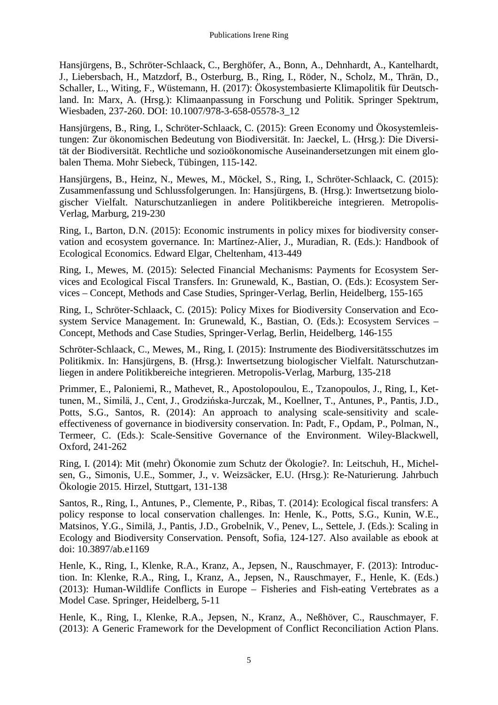Hansjürgens, B., Schröter-Schlaack, C., Berghöfer, A., Bonn, A., Dehnhardt, A., Kantelhardt, J., Liebersbach, H., Matzdorf, B., Osterburg, B., Ring, I., Röder, N., Scholz, M., Thrän, D., Schaller, L., Witing, F., Wüstemann, H. (2017): Ökosystembasierte Klimapolitik für Deutschland. In: Marx, A. (Hrsg.): Klimaanpassung in Forschung und Politik. Springer Spektrum, Wiesbaden, 237-260. DOI: 10.1007/978-3-658-05578-3\_12

Hansjürgens, B., Ring, I., Schröter-Schlaack, C. (2015): Green Economy und Ökosystemleistungen: Zur ökonomischen Bedeutung von Biodiversität. In: Jaeckel, L. (Hrsg.): Die Diversität der Biodiversität. Rechtliche und sozioökonomische Auseinandersetzungen mit einem globalen Thema. Mohr Siebeck, Tübingen, 115-142.

Hansjürgens, B., Heinz, N., Mewes, M., Möckel, S., Ring, I., Schröter-Schlaack, C. (2015): Zusammenfassung und Schlussfolgerungen. In: Hansjürgens, B. (Hrsg.): Inwertsetzung biologischer Vielfalt. Naturschutzanliegen in andere Politikbereiche integrieren. Metropolis-Verlag, Marburg, 219-230

Ring, I., Barton, D.N. (2015): Economic instruments in policy mixes for biodiversity conservation and ecosystem governance. In: Martínez-Alier, J., Muradian, R. (Eds.): Handbook of Ecological Economics. Edward Elgar, Cheltenham, 413-449

Ring, I., Mewes, M. (2015): Selected Financial Mechanisms: Payments for Ecosystem Services and Ecological Fiscal Transfers. In: Grunewald, K., Bastian, O. (Eds.): Ecosystem Services – Concept, Methods and Case Studies, Springer-Verlag, Berlin, Heidelberg, 155-165

Ring, I., Schröter-Schlaack, C. (2015): Policy Mixes for Biodiversity Conservation and Ecosystem Service Management. In: Grunewald, K., Bastian, O. (Eds.): Ecosystem Services – Concept, Methods and Case Studies, Springer-Verlag, Berlin, Heidelberg, 146-155

Schröter-Schlaack, C., Mewes, M., Ring, I. (2015): Instrumente des Biodiversitätsschutzes im Politikmix. In: Hansjürgens, B. (Hrsg.): Inwertsetzung biologischer Vielfalt. Naturschutzanliegen in andere Politikbereiche integrieren. Metropolis-Verlag, Marburg, 135-218

Primmer, E., Paloniemi, R., Mathevet, R., Apostolopoulou, E., Tzanopoulos, J., Ring, I., Kettunen, M., Similä, J., Cent, J., Grodzińska-Jurczak, M., Koellner, T., Antunes, P., Pantis, J.D., Potts, S.G., Santos, R. (2014): An approach to analysing scale-sensitivity and scaleeffectiveness of governance in biodiversity conservation. In: Padt, F., Opdam, P., Polman, N., Termeer, C. (Eds.): Scale-Sensitive Governance of the Environment. Wiley-Blackwell, Oxford, 241-262

Ring, I. (2014): Mit (mehr) Ökonomie zum Schutz der Ökologie?. In: Leitschuh, H., Michelsen, G., Simonis, U.E., Sommer, J., v. Weizsäcker, E.U. (Hrsg.): Re-Naturierung. Jahrbuch Ökologie 2015. Hirzel, Stuttgart, 131-138

Santos, R., Ring, I., Antunes, P., Clemente, P., Ribas, T. (2014): Ecological fiscal transfers: A policy response to local conservation challenges. In: Henle, K., Potts, S.G., Kunin, W.E., Matsinos, Y.G., Similä, J., Pantis, J.D., Grobelnik, V., Penev, L., Settele, J. (Eds.): Scaling in Ecology and Biodiversity Conservation. Pensoft, Sofia, 124-127. Also available as ebook at doi: 10.3897/ab.e1169

Henle, K., Ring, I., Klenke, R.A., Kranz, A., Jepsen, N., Rauschmayer, F. (2013): Introduction. In: Klenke, R.A., Ring, I., Kranz, A., Jepsen, N., Rauschmayer, F., Henle, K. (Eds.) (2013): Human-Wildlife Conflicts in Europe – Fisheries and Fish-eating Vertebrates as a Model Case. Springer, Heidelberg, 5-11

Henle, K., Ring, I., Klenke, R.A., Jepsen, N., Kranz, A., Neßhöver, C., Rauschmayer, F. (2013): A Generic Framework for the Development of Conflict Reconciliation Action Plans.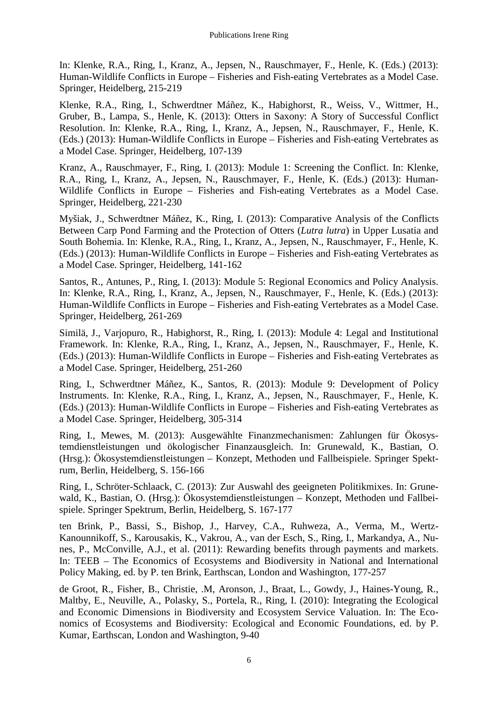In: Klenke, R.A., Ring, I., Kranz, A., Jepsen, N., Rauschmayer, F., Henle, K. (Eds.) (2013): Human-Wildlife Conflicts in Europe – Fisheries and Fish-eating Vertebrates as a Model Case. Springer, Heidelberg, 215-219

Klenke, R.A., Ring, I., Schwerdtner Máñez, K., Habighorst, R., Weiss, V., Wittmer, H., Gruber, B., Lampa, S., Henle, K. (2013): Otters in Saxony: A Story of Successful Conflict Resolution. In: Klenke, R.A., Ring, I., Kranz, A., Jepsen, N., Rauschmayer, F., Henle, K. (Eds.) (2013): Human-Wildlife Conflicts in Europe – Fisheries and Fish-eating Vertebrates as a Model Case. Springer, Heidelberg, 107-139

Kranz, A., Rauschmayer, F., Ring, I. (2013): Module 1: Screening the Conflict. In: Klenke, R.A., Ring, I., Kranz, A., Jepsen, N., Rauschmayer, F., Henle, K. (Eds.) (2013): Human-Wildlife Conflicts in Europe – Fisheries and Fish-eating Vertebrates as a Model Case. Springer, Heidelberg, 221-230

Myšiak, J., Schwerdtner Máñez, K., Ring, I. (2013): Comparative Analysis of the Conflicts Between Carp Pond Farming and the Protection of Otters (*Lutra lutra*) in Upper Lusatia and South Bohemia. In: Klenke, R.A., Ring, I., Kranz, A., Jepsen, N., Rauschmayer, F., Henle, K. (Eds.) (2013): Human-Wildlife Conflicts in Europe – Fisheries and Fish-eating Vertebrates as a Model Case. Springer, Heidelberg, 141-162

Santos, R., Antunes, P., Ring, I. (2013): Module 5: Regional Economics and Policy Analysis. In: Klenke, R.A., Ring, I., Kranz, A., Jepsen, N., Rauschmayer, F., Henle, K. (Eds.) (2013): Human-Wildlife Conflicts in Europe – Fisheries and Fish-eating Vertebrates as a Model Case. Springer, Heidelberg, 261-269

Similä, J., Varjopuro, R., Habighorst, R., Ring, I. (2013): Module 4: Legal and Institutional Framework. In: Klenke, R.A., Ring, I., Kranz, A., Jepsen, N., Rauschmayer, F., Henle, K. (Eds.) (2013): Human-Wildlife Conflicts in Europe – Fisheries and Fish-eating Vertebrates as a Model Case. Springer, Heidelberg, 251-260

Ring, I., Schwerdtner Máñez, K., Santos, R. (2013): Module 9: Development of Policy Instruments. In: Klenke, R.A., Ring, I., Kranz, A., Jepsen, N., Rauschmayer, F., Henle, K. (Eds.) (2013): Human-Wildlife Conflicts in Europe – Fisheries and Fish-eating Vertebrates as a Model Case. Springer, Heidelberg, 305-314

Ring, I., Mewes, M. (2013): Ausgewählte Finanzmechanismen: Zahlungen für Ökosystemdienstleistungen und ökologischer Finanzausgleich. In: Grunewald, K., Bastian, O. (Hrsg.): Ökosystemdienstleistungen – Konzept, Methoden und Fallbeispiele. Springer Spektrum, Berlin, Heidelberg, S. 156-166

Ring, I., Schröter-Schlaack, C. (2013): Zur Auswahl des geeigneten Politikmixes. In: Grunewald, K., Bastian, O. (Hrsg.): Ökosystemdienstleistungen – Konzept, Methoden und Fallbeispiele. Springer Spektrum, Berlin, Heidelberg, S. 167-177

ten Brink, P., Bassi, S., Bishop, J., Harvey, C.A., Ruhweza, A., Verma, M., Wertz-Kanounnikoff, S., Karousakis, K., Vakrou, A., van der Esch, S., Ring, I., Markandya, A., Nunes, P., McConville, A.J., et al. (2011): Rewarding benefits through payments and markets. In: TEEB – The Economics of Ecosystems and Biodiversity in National and International Policy Making, ed. by P. ten Brink, Earthscan, London and Washington, 177-257

de Groot, R., Fisher, B., Christie, .M, Aronson, J., Braat, L., Gowdy, J., Haines-Young, R., Maltby, E., Neuville, A., Polasky, S., Portela, R., Ring, I. (2010): Integrating the Ecological and Economic Dimensions in Biodiversity and Ecosystem Service Valuation. In: The Economics of Ecosystems and Biodiversity: Ecological and Economic Foundations, ed. by P. Kumar, Earthscan, London and Washington, 9-40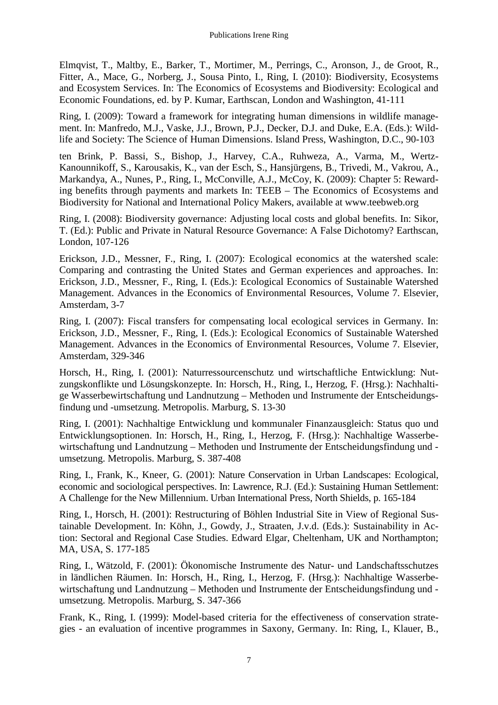Elmqvist, T., Maltby, E., Barker, T., Mortimer, M., Perrings, C., Aronson, J., de Groot, R., Fitter, A., Mace, G., Norberg, J., Sousa Pinto, I., Ring, I. (2010): Biodiversity, Ecosystems and Ecosystem Services. In: The Economics of Ecosystems and Biodiversity: Ecological and Economic Foundations, ed. by P. Kumar, Earthscan, London and Washington, 41-111

Ring, I. (2009): Toward a framework for integrating human dimensions in wildlife management. In: Manfredo, M.J., Vaske, J.J., Brown, P.J., Decker, D.J. and Duke, E.A. (Eds.): Wildlife and Society: The Science of Human Dimensions. Island Press, Washington, D.C., 90-103

ten Brink, P. Bassi, S., Bishop, J., Harvey, C.A., Ruhweza, A., Varma, M., Wertz-Kanounnikoff, S., Karousakis, K., van der Esch, S., Hansjürgens, B., Trivedi, M., Vakrou, A., Markandya, A., Nunes, P., Ring, I., McConville, A.J., McCoy, K. (2009): Chapter 5: Rewarding benefits through payments and markets In: TEEB – The Economics of Ecosystems and Biodiversity for National and International Policy Makers, available at www.teebweb.org

Ring, I. (2008): Biodiversity governance: Adjusting local costs and global benefits. In: Sikor, T. (Ed.): Public and Private in Natural Resource Governance: A False Dichotomy? Earthscan, London, 107-126

Erickson, J.D., Messner, F., Ring, I. (2007): Ecological economics at the watershed scale: Comparing and contrasting the United States and German experiences and approaches. In: Erickson, J.D., Messner, F., Ring, I. (Eds.): Ecological Economics of Sustainable Watershed Management. Advances in the Economics of Environmental Resources, Volume 7. Elsevier, Amsterdam, 3-7

Ring, I. (2007): Fiscal transfers for compensating local ecological services in Germany. In: Erickson, J.D., Messner, F., Ring, I. (Eds.): Ecological Economics of Sustainable Watershed Management. Advances in the Economics of Environmental Resources, Volume 7. Elsevier, Amsterdam, 329-346

Horsch, H., Ring, I. (2001): Naturressourcenschutz und wirtschaftliche Entwicklung: Nutzungskonflikte und Lösungskonzepte. In: Horsch, H., Ring, I., Herzog, F. (Hrsg.): Nachhaltige Wasserbewirtschaftung und Landnutzung – Methoden und Instrumente der Entscheidungsfindung und -umsetzung. Metropolis. Marburg, S. 13-30

Ring, I. (2001): Nachhaltige Entwicklung und kommunaler Finanzausgleich: Status quo und Entwicklungsoptionen. In: Horsch, H., Ring, I., Herzog, F. (Hrsg.): Nachhaltige Wasserbewirtschaftung und Landnutzung – Methoden und Instrumente der Entscheidungsfindung und umsetzung. Metropolis. Marburg, S. 387-408

Ring, I., Frank, K., Kneer, G. (2001): Nature Conservation in Urban Landscapes: Ecological, economic and sociological perspectives. In: Lawrence, R.J. (Ed.): Sustaining Human Settlement: A Challenge for the New Millennium. Urban International Press, North Shields, p. 165-184

Ring, I., Horsch, H. (2001): Restructuring of Böhlen Industrial Site in View of Regional Sustainable Development. In: Köhn, J., Gowdy, J., Straaten, J.v.d. (Eds.): Sustainability in Action: Sectoral and Regional Case Studies. Edward Elgar, Cheltenham, UK and Northampton; MA, USA, S. 177-185

Ring, I., Wätzold, F. (2001): Ökonomische Instrumente des Natur- und Landschaftsschutzes in ländlichen Räumen. In: Horsch, H., Ring, I., Herzog, F. (Hrsg.): Nachhaltige Wasserbewirtschaftung und Landnutzung – Methoden und Instrumente der Entscheidungsfindung und umsetzung. Metropolis. Marburg, S. 347-366

Frank, K., Ring, I. (1999): Model-based criteria for the effectiveness of conservation strategies - an evaluation of incentive programmes in Saxony, Germany. In: Ring, I., Klauer, B.,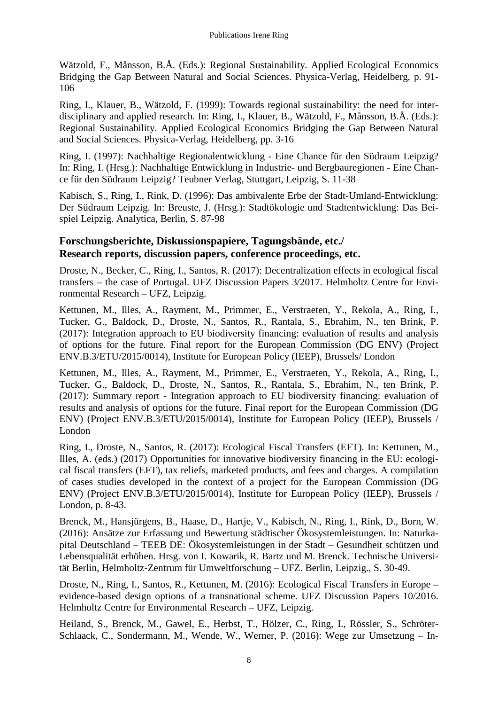Wätzold, F., Månsson, B.Å. (Eds.): Regional Sustainability. Applied Ecological Economics Bridging the Gap Between Natural and Social Sciences. Physica-Verlag, Heidelberg, p. 91- 106

Ring, I., Klauer, B., Wätzold, F. (1999): Towards regional sustainability: the need for interdisciplinary and applied research. In: Ring, I., Klauer, B., Wätzold, F., Månsson, B.Å. (Eds.): Regional Sustainability. Applied Ecological Economics Bridging the Gap Between Natural and Social Sciences. Physica-Verlag, Heidelberg, pp. 3-16

Ring, I. (1997): Nachhaltige Regionalentwicklung - Eine Chance für den Südraum Leipzig? In: Ring, I. (Hrsg.): Nachhaltige Entwicklung in Industrie- und Bergbauregionen - Eine Chance für den Südraum Leipzig? Teubner Verlag, Stuttgart, Leipzig, S. 11-38

Kabisch, S., Ring, I., Rink, D. (1996): Das ambivalente Erbe der Stadt-Umland-Entwicklung: Der Südraum Leipzig. In: Breuste, J. (Hrsg.): Stadtökologie und Stadtentwicklung: Das Beispiel Leipzig. Analytica, Berlin, S. 87-98

### **Forschungsberichte, Diskussionspapiere, Tagungsbände, etc./ Research reports, discussion papers, conference proceedings, etc.**

Droste, N., Becker, C., Ring, I., Santos, R. (2017): Decentralization effects in ecological fiscal transfers – the case of Portugal. UFZ Discussion Papers 3/2017. Helmholtz Centre for Environmental Research – UFZ, Leipzig.

Kettunen, M., Illes, A., Rayment, M., Primmer, E., Verstraeten, Y., Rekola, A., Ring, I., Tucker, G., Baldock, D., Droste, N., Santos, R., Rantala, S., Ebrahim, N., ten Brink, P. (2017): Integration approach to EU biodiversity financing: evaluation of results and analysis of options for the future. Final report for the European Commission (DG ENV) (Project ENV.B.3/ETU/2015/0014), Institute for European Policy (IEEP), Brussels/ London

Kettunen, M., Illes, A., Rayment, M., Primmer, E., Verstraeten, Y., Rekola, A., Ring, I., Tucker, G., Baldock, D., Droste, N., Santos, R., Rantala, S., Ebrahim, N., ten Brink, P. (2017): Summary report - Integration approach to EU biodiversity financing: evaluation of results and analysis of options for the future. Final report for the European Commission (DG ENV) (Project ENV.B.3/ETU/2015/0014), Institute for European Policy (IEEP), Brussels / London

Ring, I., Droste, N., Santos, R. (2017): Ecological Fiscal Transfers (EFT). In: Kettunen, M., Illes, A. (eds.) (2017) Opportunities for innovative biodiversity financing in the EU: ecological fiscal transfers (EFT), tax reliefs, marketed products, and fees and charges. A compilation of cases studies developed in the context of a project for the European Commission (DG ENV) (Project ENV.B.3/ETU/2015/0014), Institute for European Policy (IEEP), Brussels / London, p. 8-43.

Brenck, M., Hansjürgens, B., Haase, D., Hartje, V., Kabisch, N., Ring, I., Rink, D., Born, W. (2016): Ansätze zur Erfassung und Bewertung städtischer Ökosystemleistungen. In: Naturkapital Deutschland – TEEB DE: Ökosystemleistungen in der Stadt – Gesundheit schützen und Lebensqualität erhöhen. Hrsg. von I. Kowarik, R. Bartz und M. Brenck. Technische Universität Berlin, Helmholtz-Zentrum für Umweltforschung – UFZ. Berlin, Leipzig., S. 30-49.

Droste, N., Ring, I., Santos, R., Kettunen, M. (2016): Ecological Fiscal Transfers in Europe – evidence-based design options of a transnational scheme. UFZ Discussion Papers 10/2016. Helmholtz Centre for Environmental Research – UFZ, Leipzig.

Heiland, S., Brenck, M., Gawel, E., Herbst, T., Hölzer, C., Ring, I., Rössler, S., Schröter-Schlaack, C., Sondermann, M., Wende, W., Werner, P. (2016): Wege zur Umsetzung – In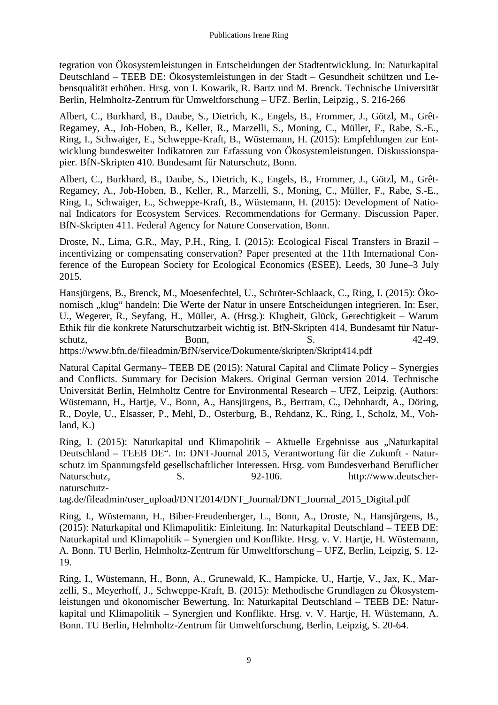tegration von Ökosystemleistungen in Entscheidungen der Stadtentwicklung. In: Naturkapital Deutschland – TEEB DE: Ökosystemleistungen in der Stadt – Gesundheit schützen und Lebensqualität erhöhen. Hrsg. von I. Kowarik, R. Bartz und M. Brenck. Technische Universität Berlin, Helmholtz-Zentrum für Umweltforschung – UFZ. Berlin, Leipzig., S. 216-266

Albert, C., Burkhard, B., Daube, S., Dietrich, K., Engels, B., Frommer, J., Götzl, M., Grêt-Regamey, A., Job-Hoben, B., Keller, R., Marzelli, S., Moning, C., Müller, F., Rabe, S.-E., Ring, I., Schwaiger, E., Schweppe-Kraft, B., Wüstemann, H. (2015): Empfehlungen zur Entwicklung bundesweiter Indikatoren zur Erfassung von Ökosystemleistungen. Diskussionspapier. BfN-Skripten 410. Bundesamt für Naturschutz, Bonn.

Albert, C., Burkhard, B., Daube, S., Dietrich, K., Engels, B., Frommer, J., Götzl, M., Grêt-Regamey, A., Job-Hoben, B., Keller, R., Marzelli, S., Moning, C., Müller, F., Rabe, S.-E., Ring, I., Schwaiger, E., Schweppe-Kraft, B., Wüstemann, H. (2015): Development of National Indicators for Ecosystem Services. Recommendations for Germany. Discussion Paper. BfN-Skripten 411. Federal Agency for Nature Conservation, Bonn.

Droste, N., Lima, G.R., May, P.H., Ring, I. (2015): Ecological Fiscal Transfers in Brazil – incentivizing or compensating conservation? Paper presented at the 11th International Conference of the European Society for Ecological Economics (ESEE), Leeds, 30 June–3 July 2015.

Hansjürgens, B., Brenck, M., Moesenfechtel, U., Schröter-Schlaack, C., Ring, I. (2015): Ökonomisch "klug" handeln: Die Werte der Natur in unsere Entscheidungen integrieren. In: Eser, U., Wegerer, R., Seyfang, H., Müller, A. (Hrsg.): Klugheit, Glück, Gerechtigkeit – Warum Ethik für die konkrete Naturschutzarbeit wichtig ist. BfN-Skripten 414, Bundesamt für Natur $schutz,$  Bonn, S. 42-49. https://www.bfn.de/fileadmin/BfN/service/Dokumente/skripten/Skript414.pdf

Natural Capital Germany– TEEB DE (2015): Natural Capital and Climate Policy – Synergies and Conflicts. Summary for Decision Makers. Original German version 2014. Technische Universität Berlin, Helmholtz Centre for Environmental Research – UFZ, Leipzig. (Authors: Wüstemann, H., Hartje, V., Bonn, A., Hansjürgens, B., Bertram, C., Dehnhardt, A., Döring, R., Doyle, U., Elsasser, P., Mehl, D., Osterburg, B., Rehdanz, K., Ring, I., Scholz, M., Vohland, K.)

Ring, I. (2015): Naturkapital und Klimapolitik – Aktuelle Ergebnisse aus "Naturkapital Deutschland – TEEB DE". In: DNT-Journal 2015, Verantwortung für die Zukunft - Naturschutz im Spannungsfeld gesellschaftlicher Interessen. Hrsg. vom Bundesverband Beruflicher Naturschutz, S. S. 92-106. http://www.deutschernaturschutz-

tag.de/fileadmin/user\_upload/DNT2014/DNT\_Journal/DNT\_Journal\_2015\_Digital.pdf

Ring, I., Wüstemann, H., Biber-Freudenberger, L., Bonn, A., Droste, N., Hansjürgens, B., (2015): Naturkapital und Klimapolitik: Einleitung. In: Naturkapital Deutschland – TEEB DE: Naturkapital und Klimapolitik – Synergien und Konflikte. Hrsg. v. V. Hartje, H. Wüstemann, A. Bonn. TU Berlin, Helmholtz-Zentrum für Umweltforschung – UFZ, Berlin, Leipzig, S. 12- 19.

Ring, I., Wüstemann, H., Bonn, A., Grunewald, K., Hampicke, U., Hartje, V., Jax, K., Marzelli, S., Meyerhoff, J., Schweppe-Kraft, B. (2015): Methodische Grundlagen zu Ökosystemleistungen und ökonomischer Bewertung. In: Naturkapital Deutschland – TEEB DE: Naturkapital und Klimapolitik – Synergien und Konflikte. Hrsg. v. V. Hartje, H. Wüstemann, A. Bonn. TU Berlin, Helmholtz-Zentrum für Umweltforschung, Berlin, Leipzig, S. 20-64.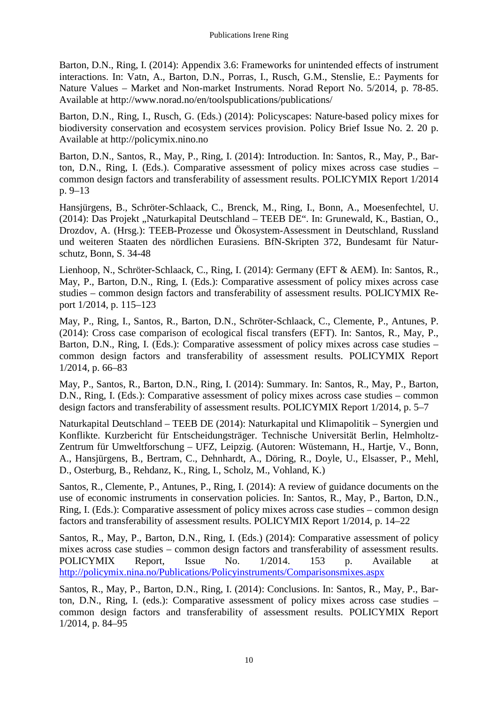Barton, D.N., Ring, I. (2014): Appendix 3.6: Frameworks for unintended effects of instrument interactions. In: Vatn, A., Barton, D.N., Porras, I., Rusch, G.M., Stenslie, E.: Payments for Nature Values – Market and Non-market Instruments. Norad Report No. 5/2014, p. 78-85. Available at http://www.norad.no/en/toolspublications/publications/

Barton, D.N., Ring, I., Rusch, G. (Eds.) (2014): Policyscapes: Nature-based policy mixes for biodiversity conservation and ecosystem services provision. Policy Brief Issue No. 2. 20 p. Available at http://policymix.nino.no

Barton, D.N., Santos, R., May, P., Ring, I. (2014): Introduction. In: Santos, R., May, P., Barton, D.N., Ring, I. (Eds.). Comparative assessment of policy mixes across case studies – common design factors and transferability of assessment results. POLICYMIX Report 1/2014 p. 9–13

Hansjürgens, B., Schröter-Schlaack, C., Brenck, M., Ring, I., Bonn, A., Moesenfechtel, U. (2014): Das Projekt "Naturkapital Deutschland – TEEB DE". In: Grunewald, K., Bastian, O., Drozdov, A. (Hrsg.): TEEB-Prozesse und Ökosystem-Assessment in Deutschland, Russland und weiteren Staaten des nördlichen Eurasiens. BfN-Skripten 372, Bundesamt für Naturschutz, Bonn, S. 34-48

Lienhoop, N., Schröter-Schlaack, C., Ring, I. (2014): Germany (EFT & AEM). In: Santos, R., May, P., Barton, D.N., Ring, I. (Eds.): Comparative assessment of policy mixes across case studies – common design factors and transferability of assessment results. POLICYMIX Report 1/2014, p. 115–123

May, P., Ring, I., Santos, R., Barton, D.N., Schröter-Schlaack, C., Clemente, P., Antunes, P. (2014): Cross case comparison of ecological fiscal transfers (EFT). In: Santos, R., May, P., Barton, D.N., Ring, I. (Eds.): Comparative assessment of policy mixes across case studies – common design factors and transferability of assessment results. POLICYMIX Report 1/2014, p. 66–83

May, P., Santos, R., Barton, D.N., Ring, I. (2014): Summary. In: Santos, R., May, P., Barton, D.N., Ring, I. (Eds.): Comparative assessment of policy mixes across case studies – common design factors and transferability of assessment results. POLICYMIX Report 1/2014, p. 5–7

Naturkapital Deutschland – TEEB DE (2014): Naturkapital und Klimapolitik – Synergien und Konflikte. Kurzbericht für Entscheidungsträger. Technische Universität Berlin, Helmholtz-Zentrum für Umweltforschung – UFZ, Leipzig. (Autoren: Wüstemann, H., Hartje, V., Bonn, A., Hansjürgens, B., Bertram, C., Dehnhardt, A., Döring, R., Doyle, U., Elsasser, P., Mehl, D., Osterburg, B., Rehdanz, K., Ring, I., Scholz, M., Vohland, K.)

Santos, R., Clemente, P., Antunes, P., Ring, I. (2014): A review of guidance documents on the use of economic instruments in conservation policies. In: Santos, R., May, P., Barton, D.N., Ring, I. (Eds.): Comparative assessment of policy mixes across case studies – common design factors and transferability of assessment results. POLICYMIX Report 1/2014, p. 14–22

Santos, R., May, P., Barton, D.N., Ring, I. (Eds.) (2014): Comparative assessment of policy mixes across case studies – common design factors and transferability of assessment results. POLICYMIX Report, Issue No. 1/2014. 153 p. Available at <http://policymix.nina.no/Publications/Policyinstruments/Comparisonsmixes.aspx>

Santos, R., May, P., Barton, D.N., Ring, I. (2014): Conclusions. In: Santos, R., May, P., Barton, D.N., Ring, I. (eds.): Comparative assessment of policy mixes across case studies – common design factors and transferability of assessment results. POLICYMIX Report 1/2014, p. 84–95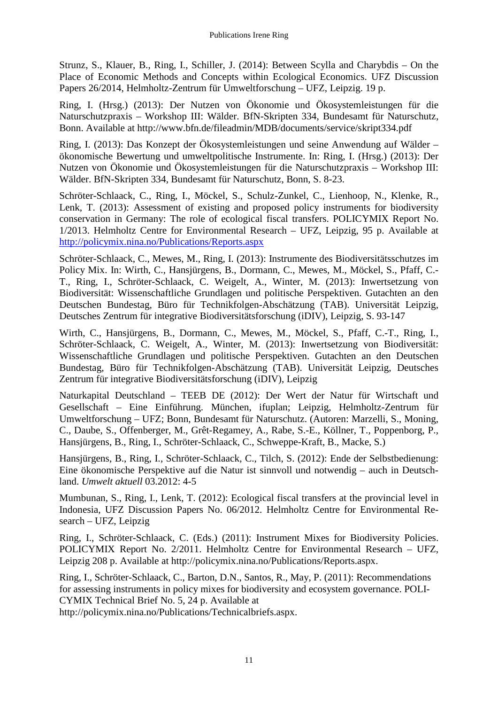Strunz, S., Klauer, B., Ring, I., Schiller, J. (2014): Between Scylla and Charybdis – On the Place of Economic Methods and Concepts within Ecological Economics. UFZ Discussion Papers 26/2014, Helmholtz-Zentrum für Umweltforschung – UFZ, Leipzig. 19 p.

Ring, I. (Hrsg.) (2013): Der Nutzen von Ökonomie und Ökosystemleistungen für die Naturschutzpraxis – Workshop III: Wälder. BfN-Skripten 334, Bundesamt für Naturschutz, Bonn. Available at http://www.bfn.de/fileadmin/MDB/documents/service/skript334.pdf

Ring, I. (2013): Das Konzept der Ökosystemleistungen und seine Anwendung auf Wälder – ökonomische Bewertung und umweltpolitische Instrumente. In: Ring, I. (Hrsg.) (2013): Der Nutzen von Ökonomie und Ökosystemleistungen für die Naturschutzpraxis – Workshop III: Wälder. BfN-Skripten 334, Bundesamt für Naturschutz, Bonn, S. 8-23.

Schröter-Schlaack, C., Ring, I., Möckel, S., Schulz-Zunkel, C., Lienhoop, N., Klenke, R., Lenk, T. (2013): Assessment of existing and proposed policy instruments for biodiversity conservation in Germany: The role of ecological fiscal transfers. POLICYMIX Report No. 1/2013. Helmholtz Centre for Environmental Research – UFZ, Leipzig, 95 p. Available at <http://policymix.nina.no/Publications/Reports.aspx>

Schröter-Schlaack, C., Mewes, M., Ring, I. (2013): Instrumente des Biodiversitätsschutzes im Policy Mix. In: Wirth, C., Hansjürgens, B., Dormann, C., Mewes, M., Möckel, S., Pfaff, C.- T., Ring, I., Schröter-Schlaack, C. Weigelt, A., Winter, M. (2013): Inwertsetzung von Biodiversität: Wissenschaftliche Grundlagen und politische Perspektiven. Gutachten an den Deutschen Bundestag, Büro für Technikfolgen-Abschätzung (TAB). Universität Leipzig, Deutsches Zentrum für integrative Biodiversitätsforschung (iDIV), Leipzig, S. 93-147

Wirth, C., Hansjürgens, B., Dormann, C., Mewes, M., Möckel, S., Pfaff, C.-T., Ring, I., Schröter-Schlaack, C. Weigelt, A., Winter, M. (2013): Inwertsetzung von Biodiversität: Wissenschaftliche Grundlagen und politische Perspektiven. Gutachten an den Deutschen Bundestag, Büro für Technikfolgen-Abschätzung (TAB). Universität Leipzig, Deutsches Zentrum für integrative Biodiversitätsforschung (iDIV), Leipzig

Naturkapital Deutschland – TEEB DE (2012): Der Wert der Natur für Wirtschaft und Gesellschaft – Eine Einführung. München, ifuplan; Leipzig, Helmholtz-Zentrum für Umweltforschung – UFZ; Bonn, Bundesamt für Naturschutz. (Autoren: Marzelli, S., Moning, C., Daube, S., Offenberger, M., Grêt-Regamey, A., Rabe, S.-E., Köllner, T., Poppenborg, P., Hansjürgens, B., Ring, I., Schröter-Schlaack, C., Schweppe-Kraft, B., Macke, S.)

Hansjürgens, B., Ring, I., Schröter-Schlaack, C., Tilch, S. (2012): Ende der Selbstbedienung: Eine ökonomische Perspektive auf die Natur ist sinnvoll und notwendig – auch in Deutschland. *Umwelt aktuell* 03.2012: 4-5

Mumbunan, S., Ring, I., Lenk, T. (2012): Ecological fiscal transfers at the provincial level in Indonesia, UFZ Discussion Papers No. 06/2012. Helmholtz Centre for Environmental Research – UFZ, Leipzig

Ring, I., Schröter-Schlaack, C. (Eds.) (2011): Instrument Mixes for Biodiversity Policies. POLICYMIX Report No. 2/2011. Helmholtz Centre for Environmental Research – UFZ, Leipzig 208 p. Available at http://policymix.nina.no/Publications/Reports.aspx.

Ring, I., Schröter-Schlaack, C., Barton, D.N., Santos, R., May, P. (2011): Recommendations for assessing instruments in policy mixes for biodiversity and ecosystem governance. POLI-CYMIX Technical Brief No. 5, 24 p. Available at

http://policymix.nina.no/Publications/Technicalbriefs.aspx.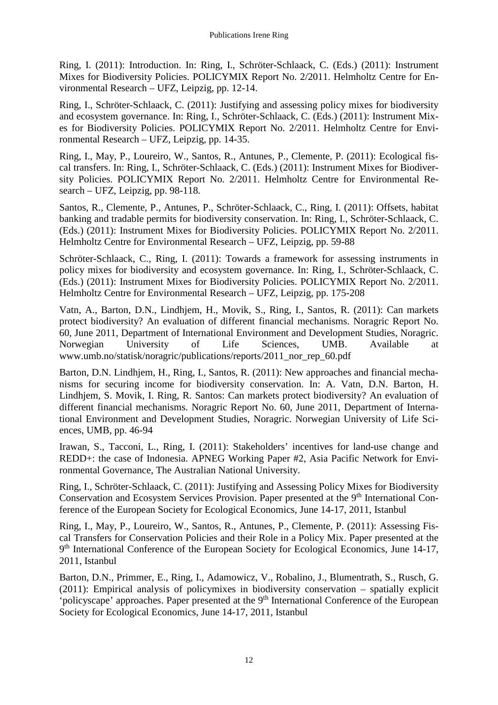Ring, I. (2011): Introduction. In: Ring, I., Schröter-Schlaack, C. (Eds.) (2011): Instrument Mixes for Biodiversity Policies. POLICYMIX Report No. 2/2011. Helmholtz Centre for Environmental Research – UFZ, Leipzig, pp. 12-14.

Ring, I., Schröter-Schlaack, C. (2011): Justifying and assessing policy mixes for biodiversity and ecosystem governance. In: Ring, I., Schröter-Schlaack, C. (Eds.) (2011): Instrument Mixes for Biodiversity Policies. POLICYMIX Report No. 2/2011. Helmholtz Centre for Environmental Research – UFZ, Leipzig, pp. 14-35.

Ring, I., May, P., Loureiro, W., Santos, R., Antunes, P., Clemente, P. (2011): Ecological fiscal transfers. In: Ring, I., Schröter-Schlaack, C. (Eds.) (2011): Instrument Mixes for Biodiversity Policies. POLICYMIX Report No. 2/2011. Helmholtz Centre for Environmental Research – UFZ, Leipzig, pp. 98-118.

Santos, R., Clemente, P., Antunes, P., Schröter-Schlaack, C., Ring, I. (2011): Offsets, habitat banking and tradable permits for biodiversity conservation. In: Ring, I., Schröter-Schlaack, C. (Eds.) (2011): Instrument Mixes for Biodiversity Policies. POLICYMIX Report No. 2/2011. Helmholtz Centre for Environmental Research – UFZ, Leipzig, pp. 59-88

Schröter-Schlaack, C., Ring, I. (2011): Towards a framework for assessing instruments in policy mixes for biodiversity and ecosystem governance. In: Ring, I., Schröter-Schlaack, C. (Eds.) (2011): Instrument Mixes for Biodiversity Policies. POLICYMIX Report No. 2/2011. Helmholtz Centre for Environmental Research – UFZ, Leipzig, pp. 175-208

Vatn, A., Barton, D.N., Lindhjem, H., Movik, S., Ring, I., Santos, R. (2011): Can markets protect biodiversity? An evaluation of different financial mechanisms. Noragric Report No. 60, June 2011, Department of International Environment and Development Studies, Noragric. Norwegian University of Life Sciences, UMB. Available at www.umb.no/statisk/noragric/publications/reports/2011\_nor\_rep\_60.pdf

Barton, D.N. Lindhjem, H., Ring, I., Santos, R. (2011): New approaches and financial mechanisms for securing income for biodiversity conservation. In: A. Vatn, D.N. Barton, H. Lindhjem, S. Movik, I. Ring, R. Santos: Can markets protect biodiversity? An evaluation of different financial mechanisms. Noragric Report No. 60, June 2011, Department of International Environment and Development Studies, Noragric. Norwegian University of Life Sciences, UMB, pp. 46-94

Irawan, S., Tacconi, L., Ring, I. (2011): Stakeholders' incentives for land-use change and REDD+: the case of Indonesia. APNEG Working Paper #2, Asia Pacific Network for Environmental Governance, The Australian National University.

Ring, I., Schröter-Schlaack, C. (2011): Justifying and Assessing Policy Mixes for Biodiversity Conservation and Ecosystem Services Provision. Paper presented at the 9<sup>th</sup> International Conference of the European Society for Ecological Economics, June 14-17, 2011, Istanbul

Ring, I., May, P., Loureiro, W., Santos, R., Antunes, P., Clemente, P. (2011): Assessing Fiscal Transfers for Conservation Policies and their Role in a Policy Mix. Paper presented at the 9<sup>th</sup> International Conference of the European Society for Ecological Economics, June 14-17, 2011, Istanbul

Barton, D.N., Primmer, E., Ring, I., Adamowicz, V., Robalino, J., Blumentrath, S., Rusch, G. (2011): Empirical analysis of policymixes in biodiversity conservation – spatially explicit 'policyscape' approaches. Paper presented at the 9<sup>th</sup> International Conference of the European Society for Ecological Economics, June 14-17, 2011, Istanbul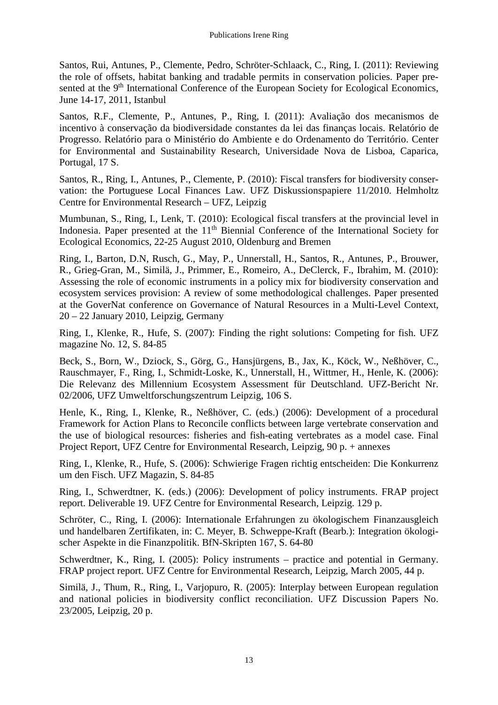Santos, Rui, Antunes, P., Clemente, Pedro, Schröter-Schlaack, C., Ring, I. (2011): Reviewing the role of offsets, habitat banking and tradable permits in conservation policies. Paper presented at the 9<sup>th</sup> International Conference of the European Society for Ecological Economics, June 14-17, 2011, Istanbul

Santos, R.F., Clemente, P., Antunes, P., Ring, I. (2011): Avaliação dos mecanismos de incentivo à conservação da biodiversidade constantes da lei das finanças locais. Relatório de Progresso. Relatório para o Ministério do Ambiente e do Ordenamento do Território. Center for Environmental and Sustainability Research, Universidade Nova de Lisboa, Caparica, Portugal, 17 S.

Santos, R., Ring, I., Antunes, P., Clemente, P. (2010): Fiscal transfers for biodiversity conservation: the Portuguese Local Finances Law. UFZ Diskussionspapiere 11/2010. Helmholtz Centre for Environmental Research – UFZ, Leipzig

Mumbunan, S., Ring, I., Lenk, T. (2010): Ecological fiscal transfers at the provincial level in Indonesia. Paper presented at the 11<sup>th</sup> Biennial Conference of the International Society for Ecological Economics, 22-25 August 2010, Oldenburg and Bremen

Ring, I., Barton, D.N, Rusch, G., May, P., Unnerstall, H., Santos, R., Antunes, P., Brouwer, R., Grieg-Gran, M., Similä, J., Primmer, E., Romeiro, A., DeClerck, F., Ibrahim, M. (2010): Assessing the role of economic instruments in a policy mix for biodiversity conservation and ecosystem services provision: A review of some methodological challenges. Paper presented at the GoverNat conference on Governance of Natural Resources in a Multi-Level Context, 20 – 22 January 2010, Leipzig, Germany

Ring, I., Klenke, R., Hufe, S. (2007): Finding the right solutions: Competing for fish. UFZ magazine No. 12, S. 84-85

Beck, S., Born, W., Dziock, S., Görg, G., Hansjürgens, B., Jax, K., Köck, W., Neßhöver, C., Rauschmayer, F., Ring, I., Schmidt-Loske, K., Unnerstall, H., Wittmer, H., Henle, K. (2006): Die Relevanz des Millennium Ecosystem Assessment für Deutschland. UFZ-Bericht Nr. 02/2006, UFZ Umweltforschungszentrum Leipzig, 106 S.

Henle, K., Ring, I., Klenke, R., Neßhöver, C. (eds.) (2006): Development of a procedural Framework for Action Plans to Reconcile conflicts between large vertebrate conservation and the use of biological resources: fisheries and fish-eating vertebrates as a model case. Final Project Report, UFZ Centre for Environmental Research, Leipzig, 90 p. + annexes

Ring, I., Klenke, R., Hufe, S. (2006): Schwierige Fragen richtig entscheiden: Die Konkurrenz um den Fisch. UFZ Magazin, S. 84-85

Ring, I., Schwerdtner, K. (eds.) (2006): Development of policy instruments. FRAP project report. Deliverable 19. UFZ Centre for Environmental Research, Leipzig. 129 p.

Schröter, C., Ring, I. (2006): Internationale Erfahrungen zu ökologischem Finanzausgleich und handelbaren Zertifikaten, in: C. Meyer, B. Schweppe-Kraft (Bearb.): Integration ökologischer Aspekte in die Finanzpolitik. BfN-Skripten 167, S. 64-80

Schwerdtner, K., Ring, I. (2005): Policy instruments – practice and potential in Germany. FRAP project report. UFZ Centre for Environmental Research, Leipzig, March 2005, 44 p.

Similä, J., Thum, R., Ring, I., Varjopuro, R. (2005): Interplay between European regulation and national policies in biodiversity conflict reconciliation. UFZ Discussion Papers No. 23/2005, Leipzig, 20 p.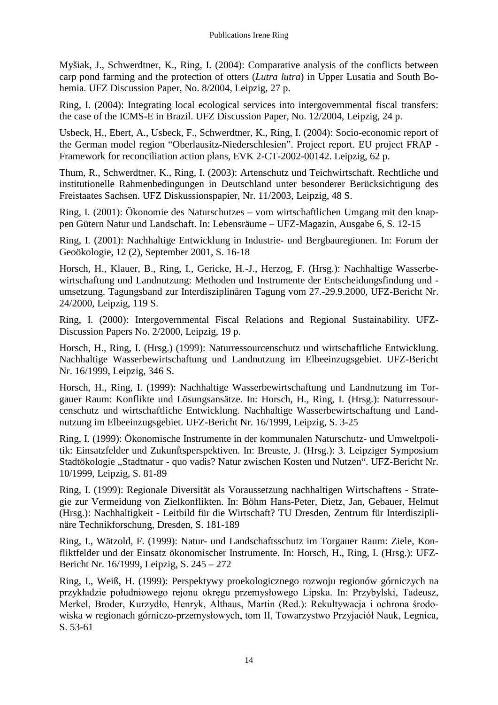Myšiak, J., Schwerdtner, K., Ring, I. (2004): Comparative analysis of the conflicts between carp pond farming and the protection of otters (*Lutra lutra*) in Upper Lusatia and South Bohemia. UFZ Discussion Paper, No. 8/2004, Leipzig, 27 p.

Ring, I. (2004): Integrating local ecological services into intergovernmental fiscal transfers: the case of the ICMS-E in Brazil. UFZ Discussion Paper, No. 12/2004, Leipzig, 24 p.

Usbeck, H., Ebert, A., Usbeck, F., Schwerdtner, K., Ring, I. (2004): Socio-economic report of the German model region "Oberlausitz-Niederschlesien". Project report. EU project FRAP - Framework for reconciliation action plans, EVK 2-CT-2002-00142. Leipzig, 62 p.

Thum, R., Schwerdtner, K., Ring, I. (2003): Artenschutz und Teichwirtschaft. Rechtliche und institutionelle Rahmenbedingungen in Deutschland unter besonderer Berücksichtigung des Freistaates Sachsen. UFZ Diskussionspapier, Nr. 11/2003, Leipzig, 48 S.

Ring, I. (2001): Ökonomie des Naturschutzes – vom wirtschaftlichen Umgang mit den knappen Gütern Natur und Landschaft. In: Lebensräume – UFZ-Magazin, Ausgabe 6, S. 12-15

Ring, I. (2001): Nachhaltige Entwicklung in Industrie- und Bergbauregionen. In: Forum der Geoökologie, 12 (2), September 2001, S. 16-18

Horsch, H., Klauer, B., Ring, I., Gericke, H.-J., Herzog, F. (Hrsg.): Nachhaltige Wasserbewirtschaftung und Landnutzung: Methoden und Instrumente der Entscheidungsfindung und umsetzung. Tagungsband zur Interdisziplinären Tagung vom 27.-29.9.2000, UFZ-Bericht Nr. 24/2000, Leipzig, 119 S.

Ring, I. (2000): Intergovernmental Fiscal Relations and Regional Sustainability. UFZ-Discussion Papers No. 2/2000, Leipzig, 19 p.

Horsch, H., Ring, I. (Hrsg.) (1999): Naturressourcenschutz und wirtschaftliche Entwicklung. Nachhaltige Wasserbewirtschaftung und Landnutzung im Elbeeinzugsgebiet. UFZ-Bericht Nr. 16/1999, Leipzig, 346 S.

Horsch, H., Ring, I. (1999): Nachhaltige Wasserbewirtschaftung und Landnutzung im Torgauer Raum: Konflikte und Lösungsansätze. In: Horsch, H., Ring, I. (Hrsg.): Naturressourcenschutz und wirtschaftliche Entwicklung. Nachhaltige Wasserbewirtschaftung und Landnutzung im Elbeeinzugsgebiet. UFZ-Bericht Nr. 16/1999, Leipzig, S. 3-25

Ring, I. (1999): Ökonomische Instrumente in der kommunalen Naturschutz- und Umweltpolitik: Einsatzfelder und Zukunftsperspektiven. In: Breuste, J. (Hrsg.): 3. Leipziger Symposium Stadtökologie "Stadtnatur - quo vadis? Natur zwischen Kosten und Nutzen". UFZ-Bericht Nr. 10/1999, Leipzig, S. 81-89

Ring, I. (1999): Regionale Diversität als Voraussetzung nachhaltigen Wirtschaftens - Strategie zur Vermeidung von Zielkonflikten. In: Böhm Hans-Peter, Dietz, Jan, Gebauer, Helmut (Hrsg.): Nachhaltigkeit - Leitbild für die Wirtschaft? TU Dresden, Zentrum für Interdisziplinäre Technikforschung, Dresden, S. 181-189

Ring, I., Wätzold, F. (1999): Natur- und Landschaftsschutz im Torgauer Raum: Ziele, Konfliktfelder und der Einsatz ökonomischer Instrumente. In: Horsch, H., Ring, I. (Hrsg.): UFZ-Bericht Nr. 16/1999, Leipzig, S. 245 – 272

Ring, I., Weiß, H. (1999): Perspektywy proekologicznego rozwoju regionów górniczych na przykładzie południowego rejonu okręgu przemysłowego Lipska. In: Przybylski, Tadeusz, Merkel, Broder, Kurzydło, Henryk, Althaus, Martin (Red.): Rekultywacja i ochrona środowiska w regionach górniczo-przemysłowych, tom II, Towarzystwo Przyjaciół Nauk, Legnica, S. 53-61